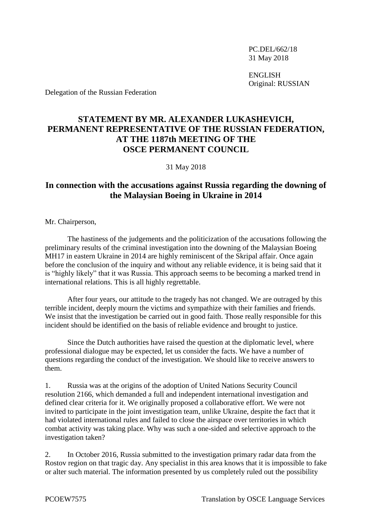PC.DEL/662/18 31 May 2018

ENGLISH Original: RUSSIAN

Delegation of the Russian Federation

## **STATEMENT BY MR. ALEXANDER LUKASHEVICH, PERMANENT REPRESENTATIVE OF THE RUSSIAN FEDERATION, AT THE 1187th MEETING OF THE OSCE PERMANENT COUNCIL**

31 May 2018

## **In connection with the accusations against Russia regarding the downing of the Malaysian Boeing in Ukraine in 2014**

Mr. Chairperson,

The hastiness of the judgements and the politicization of the accusations following the preliminary results of the criminal investigation into the downing of the Malaysian Boeing MH17 in eastern Ukraine in 2014 are highly reminiscent of the Skripal affair. Once again before the conclusion of the inquiry and without any reliable evidence, it is being said that it is "highly likely" that it was Russia. This approach seems to be becoming a marked trend in international relations. This is all highly regrettable.

After four years, our attitude to the tragedy has not changed. We are outraged by this terrible incident, deeply mourn the victims and sympathize with their families and friends. We insist that the investigation be carried out in good faith. Those really responsible for this incident should be identified on the basis of reliable evidence and brought to justice.

Since the Dutch authorities have raised the question at the diplomatic level, where professional dialogue may be expected, let us consider the facts. We have a number of questions regarding the conduct of the investigation. We should like to receive answers to them.

1. Russia was at the origins of the adoption of United Nations Security Council resolution 2166, which demanded a full and independent international investigation and defined clear criteria for it. We originally proposed a collaborative effort. We were not invited to participate in the joint investigation team, unlike Ukraine, despite the fact that it had violated international rules and failed to close the airspace over territories in which combat activity was taking place. Why was such a one-sided and selective approach to the investigation taken?

2. In October 2016, Russia submitted to the investigation primary radar data from the Rostov region on that tragic day. Any specialist in this area knows that it is impossible to fake or alter such material. The information presented by us completely ruled out the possibility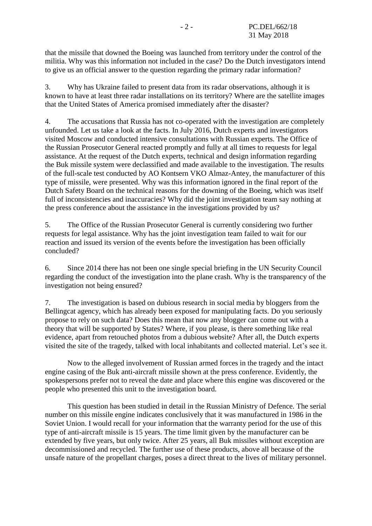that the missile that downed the Boeing was launched from territory under the control of the militia. Why was this information not included in the case? Do the Dutch investigators intend to give us an official answer to the question regarding the primary radar information?

3. Why has Ukraine failed to present data from its radar observations, although it is known to have at least three radar installations on its territory? Where are the satellite images that the United States of America promised immediately after the disaster?

4. The accusations that Russia has not co-operated with the investigation are completely unfounded. Let us take a look at the facts. In July 2016, Dutch experts and investigators visited Moscow and conducted intensive consultations with Russian experts. The Office of the Russian Prosecutor General reacted promptly and fully at all times to requests for legal assistance. At the request of the Dutch experts, technical and design information regarding the Buk missile system were declassified and made available to the investigation. The results of the full-scale test conducted by AO Kontsern VKO Almaz-Antey, the manufacturer of this type of missile, were presented. Why was this information ignored in the final report of the Dutch Safety Board on the technical reasons for the downing of the Boeing, which was itself full of inconsistencies and inaccuracies? Why did the joint investigation team say nothing at the press conference about the assistance in the investigations provided by us?

5. The Office of the Russian Prosecutor General is currently considering two further requests for legal assistance. Why has the joint investigation team failed to wait for our reaction and issued its version of the events before the investigation has been officially concluded?

6. Since 2014 there has not been one single special briefing in the UN Security Council regarding the conduct of the investigation into the plane crash. Why is the transparency of the investigation not being ensured?

7. The investigation is based on dubious research in social media by bloggers from the Bellingcat agency, which has already been exposed for manipulating facts. Do you seriously propose to rely on such data? Does this mean that now any blogger can come out with a theory that will be supported by States? Where, if you please, is there something like real evidence, apart from retouched photos from a dubious website? After all, the Dutch experts visited the site of the tragedy, talked with local inhabitants and collected material. Let's see it.

Now to the alleged involvement of Russian armed forces in the tragedy and the intact engine casing of the Buk anti-aircraft missile shown at the press conference. Evidently, the spokespersons prefer not to reveal the date and place where this engine was discovered or the people who presented this unit to the investigation board.

This question has been studied in detail in the Russian Ministry of Defence. The serial number on this missile engine indicates conclusively that it was manufactured in 1986 in the Soviet Union. I would recall for your information that the warranty period for the use of this type of anti-aircraft missile is 15 years. The time limit given by the manufacturer can be extended by five years, but only twice. After 25 years, all Buk missiles without exception are decommissioned and recycled. The further use of these products, above all because of the unsafe nature of the propellant charges, poses a direct threat to the lives of military personnel.